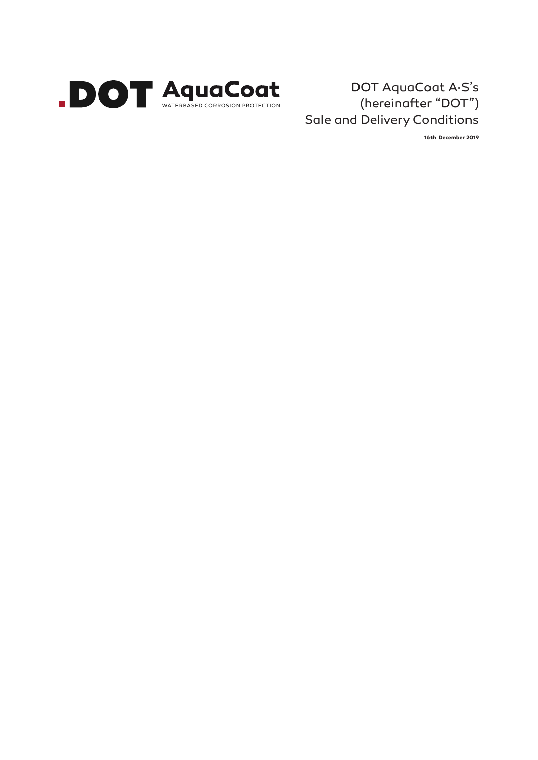

# DOT AquaCoat A·S's (hereinafter "DOT") Sale and Delivery Conditions

**16th December 2019**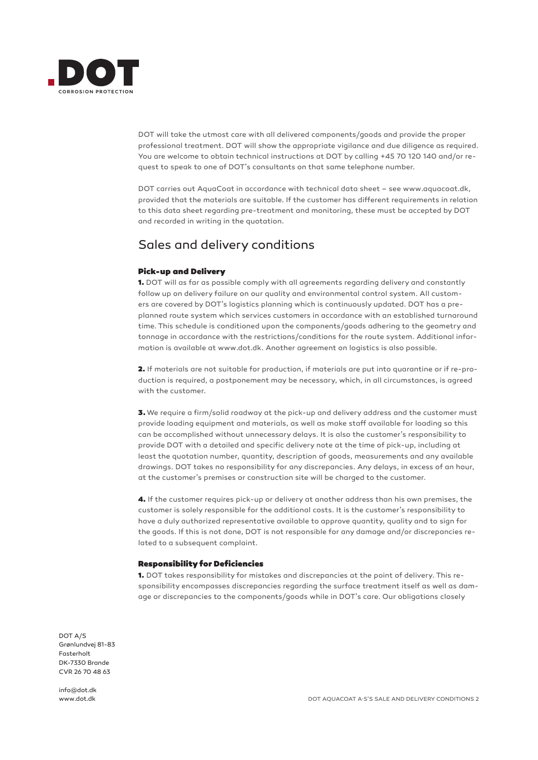

DOT will take the utmost care with all delivered components/goods and provide the proper professional treatment. DOT will show the appropriate vigilance and due diligence as required. You are welcome to obtain technical instructions at DOT by calling +45 70 120 140 and/or request to speak to one of DOT's consultants on that same telephone number.

DOT carries out AquaCoat in accordance with technical data sheet – see www.aquacoat.dk, provided that the materials are suitable. If the customer has different requirements in relation to this data sheet regarding pre-treatment and monitoring, these must be accepted by DOT and recorded in writing in the quotation.

# Sales and delivery conditions

## Pick-up and Delivery

1. DOT will as far as possible comply with all agreements regarding delivery and constantly follow up on delivery failure on our quality and environmental control system. All customers are covered by DOT's logistics planning which is continuously updated. DOT has a preplanned route system which services customers in accordance with an established turnaround time. This schedule is conditioned upon the components/goods adhering to the geometry and tonnage in accordance with the restrictions/conditions for the route system. Additional information is available at www.dot.dk. Another agreement on logistics is also possible.

2. If materials are not suitable for production, if materials are put into quarantine or if re-production is required, a postponement may be necessary, which, in all circumstances, is agreed with the customer.

3. We require a firm/solid roadway at the pick-up and delivery address and the customer must provide loading equipment and materials, as well as make staff available for loading so this can be accomplished without unnecessary delays. It is also the customer's responsibility to provide DOT with a detailed and specific delivery note at the time of pick-up, including at least the quotation number, quantity, description of goods, measurements and any available drawings. DOT takes no responsibility for any discrepancies. Any delays, in excess of an hour, at the customer's premises or construction site will be charged to the customer.

4. If the customer requires pick-up or delivery at another address than his own premises, the customer is solely responsible for the additional costs. It is the customer's responsibility to have a duly authorized representative available to approve quantity, quality and to sign for the goods. If this is not done, DOT is not responsible for any damage and/or discrepancies related to a subsequent complaint.

#### Responsibility for Deficiencies

1. DOT takes responsibility for mistakes and discrepancies at the point of delivery. This responsibility encompasses discrepancies regarding the surface treatment itself as well as damage or discrepancies to the components/goods while in DOT's care. Our obligations closely

DOT A/S Grønlundvej 81-83 Fasterholt DK-7330 Brande CVR 26 70 48 63

info@dot.dk www.dot.dk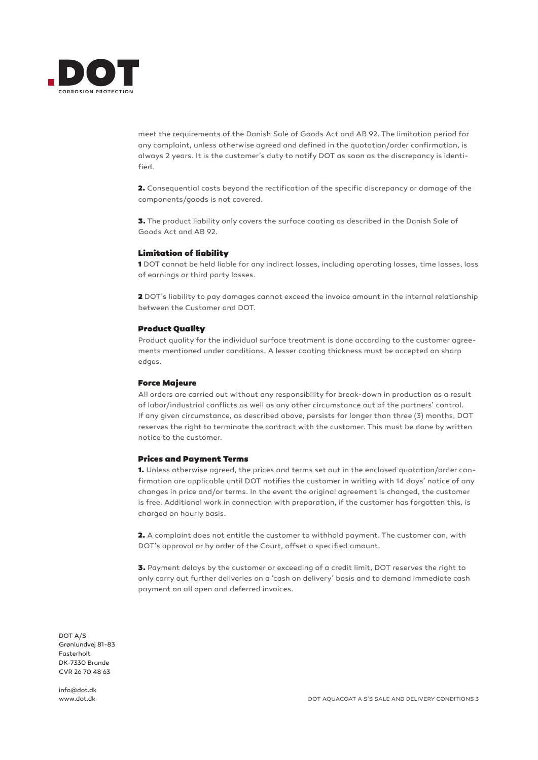

meet the requirements of the Danish Sale of Goods Act and AB 92. The limitation period for any complaint, unless otherwise agreed and defined in the quotation/order confirmation, is always 2 years. It is the customer's duty to notify DOT as soon as the discrepancy is identified.

2. Consequential costs beyond the rectification of the specific discrepancy or damage of the components/goods is not covered.

3. The product liability only covers the surface coating as described in the Danish Sale of Goods Act and AB 92.

#### Limitation of liability

1 DOT cannot be held liable for any indirect losses, including operating losses, time losses, loss of earnings or third party losses.

2 DOT's liability to pay damages cannot exceed the invoice amount in the internal relationship between the Customer and DOT.

#### Product Quality

Product quality for the individual surface treatment is done according to the customer agreements mentioned under conditions. A lesser coating thickness must be accepted on sharp edges.

#### Force Majeure

All orders are carried out without any responsibility for break-down in production as a result of labor/industrial conflicts as well as any other circumstance out of the partners' control. If any given circumstance, as described above, persists for longer than three (3) months, DOT reserves the right to terminate the contract with the customer. This must be done by written notice to the customer.

### Prices and Payment Terms

1. Unless otherwise agreed, the prices and terms set out in the enclosed quotation/order confirmation are applicable until DOT notifies the customer in writing with 14 days' notice of any changes in price and/or terms. In the event the original agreement is changed, the customer is free. Additional work in connection with preparation, if the customer has forgotten this, is charged on hourly basis.

2. A complaint does not entitle the customer to withhold payment. The customer can, with DOT's approval or by order of the Court, offset a specified amount.

3. Payment delays by the customer or exceeding of a credit limit, DOT reserves the right to only carry out further deliveries on a 'cash on delivery' basis and to demand immediate cash payment on all open and deferred invoices.

DOT A/S Grønlundvej 81-83 Fasterholt DK-7330 Brande CVR 26 70 48 63

info@dot.dk www.dot.dk